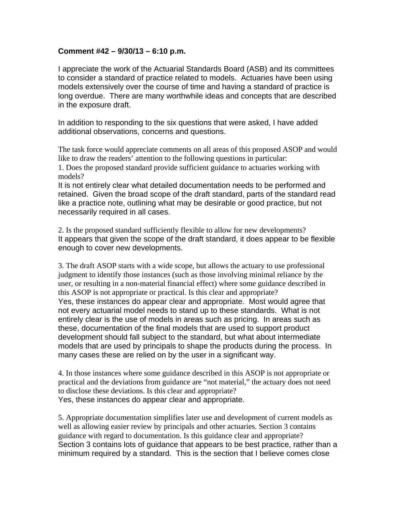## **Comment #42 – 9/30/13 – 6:10 p.m.**

I appreciate the work of the Actuarial Standards Board (ASB) and its committees to consider a standard of practice related to models. Actuaries have been using models extensively over the course of time and having a standard of practice is long overdue. There are many worthwhile ideas and concepts that are described in the exposure draft.

In addition to responding to the six questions that were asked, I have added additional observations, concerns and questions.

The task force would appreciate comments on all areas of this proposed ASOP and would like to draw the readers' attention to the following questions in particular: 1. Does the proposed standard provide sufficient guidance to actuaries working with models?

It is not entirely clear what detailed documentation needs to be performed and retained. Given the broad scope of the draft standard, parts of the standard read like a practice note, outlining what may be desirable or good practice, but not necessarily required in all cases.

2. Is the proposed standard sufficiently flexible to allow for new developments? It appears that given the scope of the draft standard, it does appear to be flexible enough to cover new developments.

3. The draft ASOP starts with a wide scope, but allows the actuary to use professional judgment to identify those instances (such as those involving minimal reliance by the user, or resulting in a non-material financial effect) where some guidance described in this ASOP is not appropriate or practical. Is this clear and appropriate? Yes, these instances do appear clear and appropriate. Most would agree that not every actuarial model needs to stand up to these standards. What is not entirely clear is the use of models in areas such as pricing. In areas such as these, documentation of the final models that are used to support product development should fall subject to the standard, but what about intermediate models that are used by principals to shape the products during the process. In many cases these are relied on by the user in a significant way.

4. In those instances where some guidance described in this ASOP is not appropriate or practical and the deviations from guidance are "not material," the actuary does not need to disclose these deviations. Is this clear and appropriate? Yes, these instances do appear clear and appropriate.

5. Appropriate documentation simplifies later use and development of current models as well as allowing easier review by principals and other actuaries. Section 3 contains guidance with regard to documentation. Is this guidance clear and appropriate? Section 3 contains lots of guidance that appears to be best practice, rather than a minimum required by a standard. This is the section that I believe comes close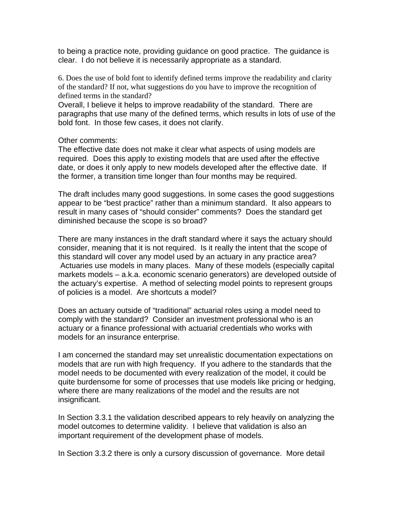to being a practice note, providing guidance on good practice. The guidance is clear. I do not believe it is necessarily appropriate as a standard.

6. Does the use of bold font to identify defined terms improve the readability and clarity of the standard? If not, what suggestions do you have to improve the recognition of defined terms in the standard?

Overall, I believe it helps to improve readability of the standard. There are paragraphs that use many of the defined terms, which results in lots of use of the bold font. In those few cases, it does not clarify.

## Other comments:

The effective date does not make it clear what aspects of using models are required. Does this apply to existing models that are used after the effective date, or does it only apply to new models developed after the effective date. If the former, a transition time longer than four months may be required.

The draft includes many good suggestions. In some cases the good suggestions appear to be "best practice" rather than a minimum standard. It also appears to result in many cases of "should consider" comments? Does the standard get diminished because the scope is so broad?

There are many instances in the draft standard where it says the actuary should consider, meaning that it is not required. Is it really the intent that the scope of this standard will cover any model used by an actuary in any practice area? Actuaries use models in many places. Many of these models (especially capital markets models – a.k.a. economic scenario generators) are developed outside of the actuary's expertise. A method of selecting model points to represent groups of policies is a model. Are shortcuts a model?

Does an actuary outside of "traditional" actuarial roles using a model need to comply with the standard? Consider an investment professional who is an actuary or a finance professional with actuarial credentials who works with models for an insurance enterprise.

I am concerned the standard may set unrealistic documentation expectations on models that are run with high frequency. If you adhere to the standards that the model needs to be documented with every realization of the model, it could be quite burdensome for some of processes that use models like pricing or hedging, where there are many realizations of the model and the results are not insignificant.

In Section 3.3.1 the validation described appears to rely heavily on analyzing the model outcomes to determine validity. I believe that validation is also an important requirement of the development phase of models.

In Section 3.3.2 there is only a cursory discussion of governance. More detail